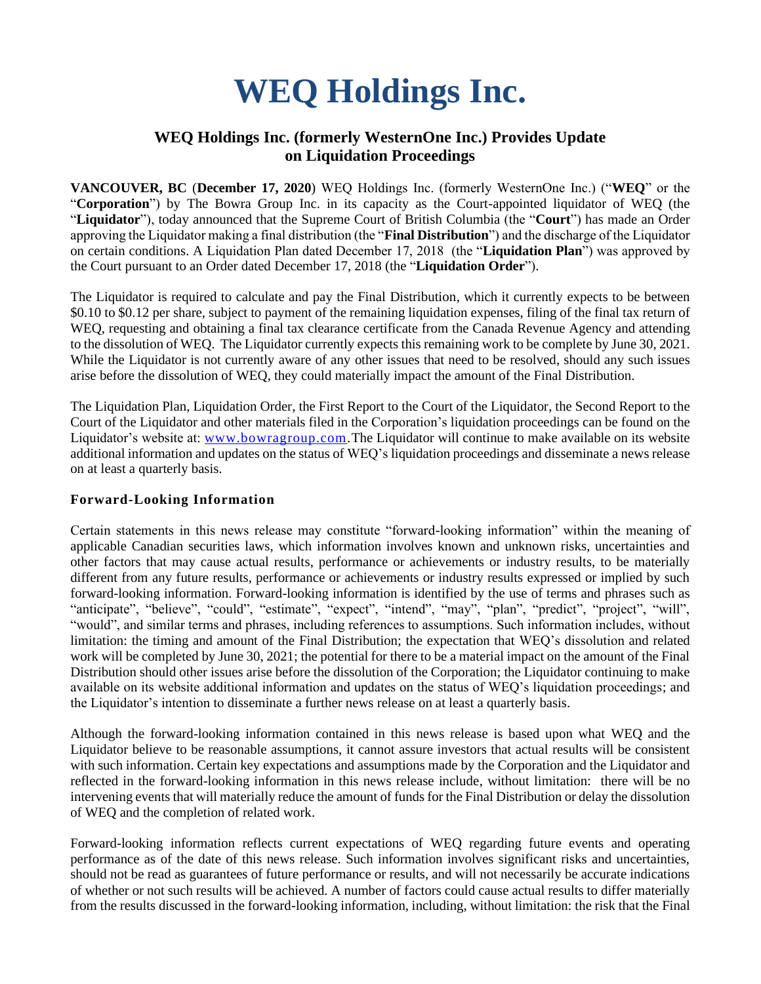# **WEQ Holdings Inc.**

# **WEQ Holdings Inc. (formerly WesternOne Inc.) Provides Update on Liquidation Proceedings**

**VANCOUVER, BC** (**December 17, 2020**) WEQ Holdings Inc. (formerly WesternOne Inc.) ("**WEQ**" or the "**Corporation**") by The Bowra Group Inc. in its capacity as the Court-appointed liquidator of WEQ (the "**Liquidator**"), today announced that the Supreme Court of British Columbia (the "**Court**") has made an Order approving the Liquidator making a final distribution (the "**Final Distribution**") and the discharge of the Liquidator on certain conditions. A Liquidation Plan dated December 17, 2018 (the "**Liquidation Plan**") was approved by the Court pursuant to an Order dated December 17, 2018 (the "**Liquidation Order**").

The Liquidator is required to calculate and pay the Final Distribution, which it currently expects to be between \$0.10 to \$0.12 per share, subject to payment of the remaining liquidation expenses, filing of the final tax return of WEQ, requesting and obtaining a final tax clearance certificate from the Canada Revenue Agency and attending to the dissolution of WEQ. The Liquidator currently expects this remaining work to be complete by June 30, 2021. While the Liquidator is not currently aware of any other issues that need to be resolved, should any such issues arise before the dissolution of WEQ, they could materially impact the amount of the Final Distribution.

The Liquidation Plan, Liquidation Order, the First Report to the Court of the Liquidator, the Second Report to the Court of the Liquidator and other materials filed in the Corporation's liquidation proceedings can be found on the Liquidator's website at: [www.bowragroup.com.](http://www.bowragroup.com/)The Liquidator will continue to make available on its website additional information and updates on the status of WEQ's liquidation proceedings and disseminate a news release on at least a quarterly basis.

## **Forward-Looking Information**

Certain statements in this news release may constitute "forward-looking information" within the meaning of applicable Canadian securities laws, which information involves known and unknown risks, uncertainties and other factors that may cause actual results, performance or achievements or industry results, to be materially different from any future results, performance or achievements or industry results expressed or implied by such forward-looking information. Forward-looking information is identified by the use of terms and phrases such as "anticipate", "believe", "could", "estimate", "expect", "intend", "may", "plan", "predict", "project", "will", "would", and similar terms and phrases, including references to assumptions. Such information includes, without limitation: the timing and amount of the Final Distribution; the expectation that WEQ's dissolution and related work will be completed by June 30, 2021; the potential for there to be a material impact on the amount of the Final Distribution should other issues arise before the dissolution of the Corporation; the Liquidator continuing to make available on its website additional information and updates on the status of WEQ's liquidation proceedings; and the Liquidator's intention to disseminate a further news release on at least a quarterly basis.

Although the forward-looking information contained in this news release is based upon what WEQ and the Liquidator believe to be reasonable assumptions, it cannot assure investors that actual results will be consistent with such information. Certain key expectations and assumptions made by the Corporation and the Liquidator and reflected in the forward-looking information in this news release include, without limitation: there will be no intervening events that will materially reduce the amount of funds for the Final Distribution or delay the dissolution of WEQ and the completion of related work.

Forward-looking information reflects current expectations of WEQ regarding future events and operating performance as of the date of this news release. Such information involves significant risks and uncertainties, should not be read as guarantees of future performance or results, and will not necessarily be accurate indications of whether or not such results will be achieved. A number of factors could cause actual results to differ materially from the results discussed in the forward-looking information, including, without limitation: the risk that the Final